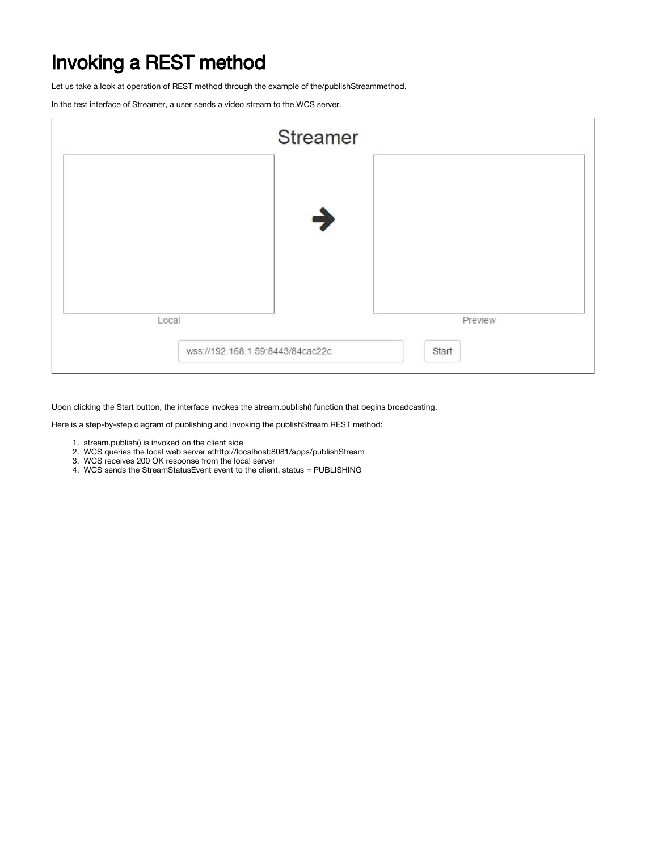## Invoking a REST method

Let us take a look at operation of REST method through the example of the/publishStreammethod.

In the test interface of Streamer, a user sends a video stream to the WCS server.

|                                  | <b>Streamer</b> |       |         |
|----------------------------------|-----------------|-------|---------|
|                                  |                 |       |         |
|                                  | $\rightarrow$   |       |         |
|                                  |                 |       |         |
|                                  |                 |       |         |
| Local                            |                 |       | Preview |
| wss://192.168.1.59:8443/84cac22c |                 | Start |         |
|                                  |                 |       |         |

Upon clicking the Start button, the interface invokes the stream.publish() function that begins broadcasting.

Here is a step-by-step diagram of publishing and invoking the publishStream REST method:

- 1. stream.publish() is invoked on the client side
- 2. WCS queries the local web server athttp://localhost:8081/apps/publishStream
- 3. WCS receives 200 OK response from the local server
- 4. WCS sends the StreamStatusEvent event to the client, status = PUBLISHING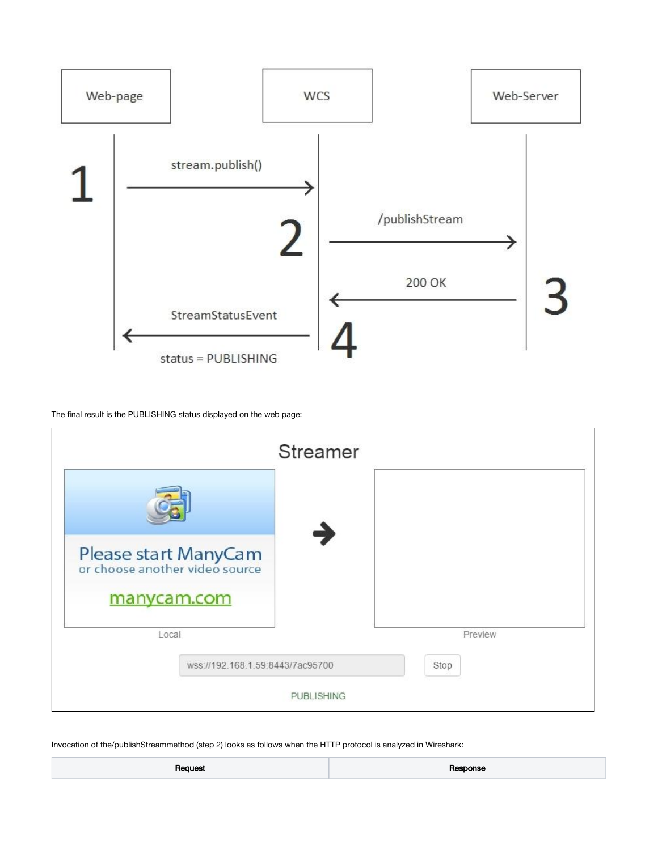

The final result is the PUBLISHING status displayed on the web page:



Invocation of the/publishStreammethod (step 2) looks as follows when the HTTP protocol is analyzed in Wireshark:

|--|